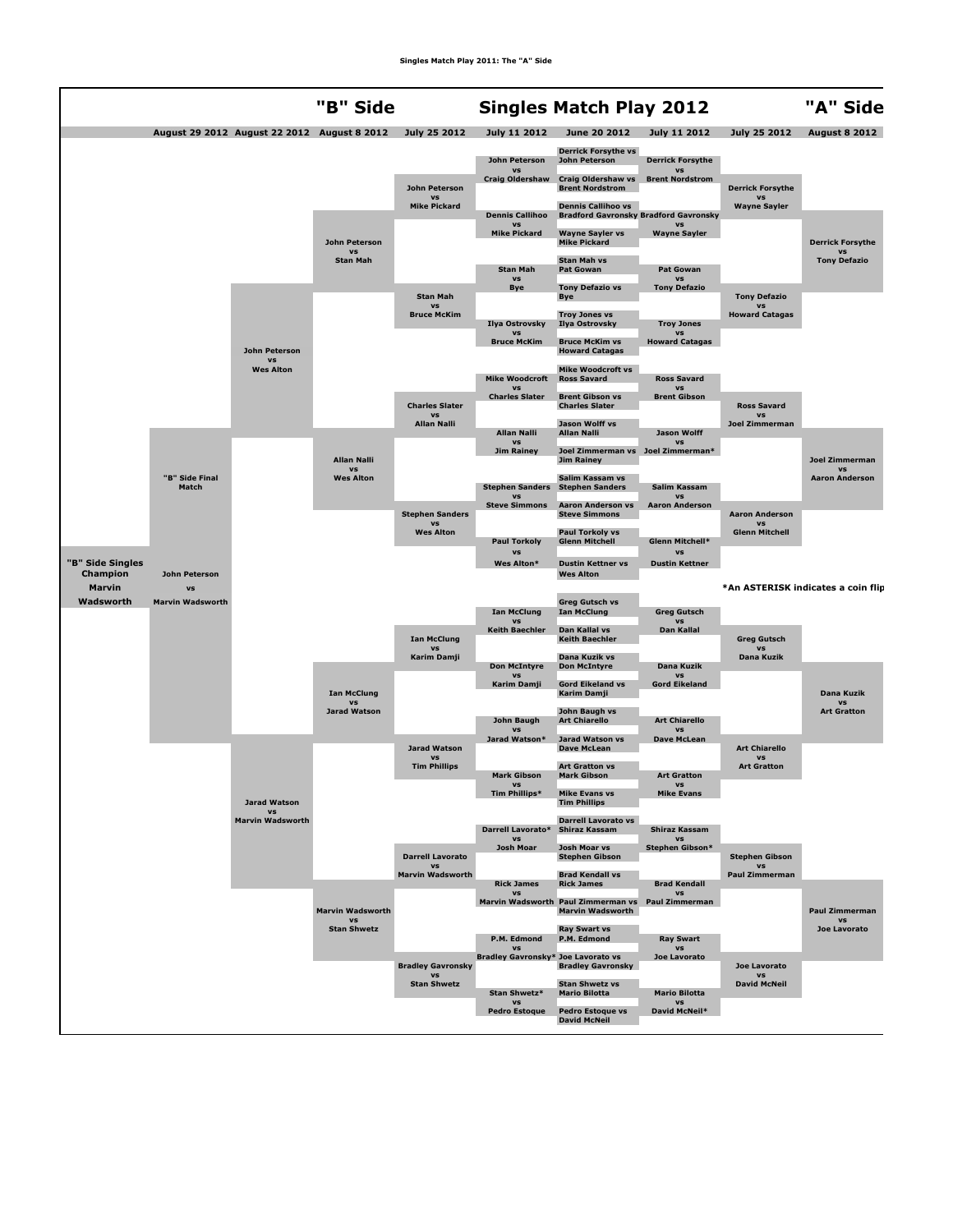